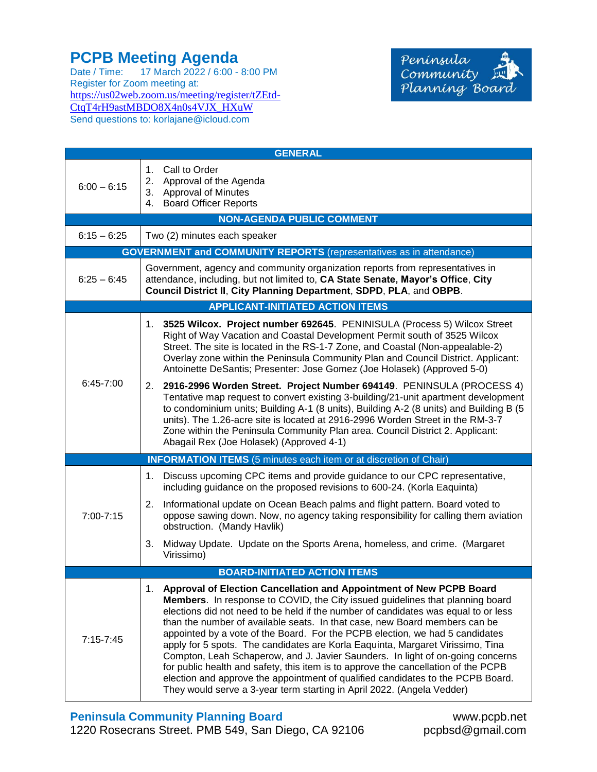## **PCPB Meeting Agenda**

Date / Time: 17 March 2022 / 6:00 - 8:00 PM Register for Zoom meeting at: [https://us02web.zoom.us/meeting/register/tZEtd-](https://us02web.zoom.us/meeting/register/tZEtd-CtqT4rH9astMBDO8X4n0s4VJX_HXuW)[CtqT4rH9astMBDO8X4n0s4VJX\\_HXuW](https://us02web.zoom.us/meeting/register/tZEtd-CtqT4rH9astMBDO8X4n0s4VJX_HXuW) Send questions to: korlajane@icloud.com



| <b>GENERAL</b>                                                             |                                                                                                                                                                                                                                                                                                                                                                                                                                                                                                                                                                                                                                                                                                                                                                                                                                       |  |  |  |
|----------------------------------------------------------------------------|---------------------------------------------------------------------------------------------------------------------------------------------------------------------------------------------------------------------------------------------------------------------------------------------------------------------------------------------------------------------------------------------------------------------------------------------------------------------------------------------------------------------------------------------------------------------------------------------------------------------------------------------------------------------------------------------------------------------------------------------------------------------------------------------------------------------------------------|--|--|--|
| $6:00 - 6:15$                                                              | 1. Call to Order<br>2. Approval of the Agenda<br>3. Approval of Minutes<br>4. Board Officer Reports                                                                                                                                                                                                                                                                                                                                                                                                                                                                                                                                                                                                                                                                                                                                   |  |  |  |
| <b>NON-AGENDA PUBLIC COMMENT</b>                                           |                                                                                                                                                                                                                                                                                                                                                                                                                                                                                                                                                                                                                                                                                                                                                                                                                                       |  |  |  |
| $6:15 - 6:25$                                                              | Two (2) minutes each speaker                                                                                                                                                                                                                                                                                                                                                                                                                                                                                                                                                                                                                                                                                                                                                                                                          |  |  |  |
| <b>GOVERNMENT and COMMUNITY REPORTS</b> (representatives as in attendance) |                                                                                                                                                                                                                                                                                                                                                                                                                                                                                                                                                                                                                                                                                                                                                                                                                                       |  |  |  |
| $6:25 - 6:45$                                                              | Government, agency and community organization reports from representatives in<br>attendance, including, but not limited to, CA State Senate, Mayor's Office, City<br>Council District II, City Planning Department, SDPD, PLA, and OBPB.                                                                                                                                                                                                                                                                                                                                                                                                                                                                                                                                                                                              |  |  |  |
| <b>APPLICANT-INITIATED ACTION ITEMS</b>                                    |                                                                                                                                                                                                                                                                                                                                                                                                                                                                                                                                                                                                                                                                                                                                                                                                                                       |  |  |  |
| $6:45 - 7:00$                                                              | 1. 3525 Wilcox. Project number 692645. PENINISULA (Process 5) Wilcox Street<br>Right of Way Vacation and Coastal Development Permit south of 3525 Wilcox<br>Street. The site is located in the RS-1-7 Zone, and Coastal (Non-appealable-2)<br>Overlay zone within the Peninsula Community Plan and Council District. Applicant:<br>Antoinette DeSantis; Presenter: Jose Gomez (Joe Holasek) (Approved 5-0)                                                                                                                                                                                                                                                                                                                                                                                                                            |  |  |  |
|                                                                            | 2916-2996 Worden Street. Project Number 694149. PENINSULA (PROCESS 4)<br>2.<br>Tentative map request to convert existing 3-building/21-unit apartment development<br>to condominium units; Building A-1 (8 units), Building A-2 (8 units) and Building B (5<br>units). The 1.26-acre site is located at 2916-2996 Worden Street in the RM-3-7<br>Zone within the Peninsula Community Plan area. Council District 2. Applicant:<br>Abagail Rex (Joe Holasek) (Approved 4-1)                                                                                                                                                                                                                                                                                                                                                            |  |  |  |
| <b>INFORMATION ITEMS</b> (5 minutes each item or at discretion of Chair)   |                                                                                                                                                                                                                                                                                                                                                                                                                                                                                                                                                                                                                                                                                                                                                                                                                                       |  |  |  |
| 7:00-7:15                                                                  | Discuss upcoming CPC items and provide guidance to our CPC representative,<br>1.<br>including guidance on the proposed revisions to 600-24. (Korla Eaquinta)                                                                                                                                                                                                                                                                                                                                                                                                                                                                                                                                                                                                                                                                          |  |  |  |
|                                                                            | 2.<br>Informational update on Ocean Beach palms and flight pattern. Board voted to<br>oppose sawing down. Now, no agency taking responsibility for calling them aviation<br>obstruction. (Mandy Havlik)                                                                                                                                                                                                                                                                                                                                                                                                                                                                                                                                                                                                                               |  |  |  |
|                                                                            | 3. Midway Update. Update on the Sports Arena, homeless, and crime. (Margaret<br>Virissimo)                                                                                                                                                                                                                                                                                                                                                                                                                                                                                                                                                                                                                                                                                                                                            |  |  |  |
| <b>BOARD-INITIATED ACTION ITEMS</b>                                        |                                                                                                                                                                                                                                                                                                                                                                                                                                                                                                                                                                                                                                                                                                                                                                                                                                       |  |  |  |
| $7:15 - 7:45$                                                              | 1.<br>Approval of Election Cancellation and Appointment of New PCPB Board<br>Members. In response to COVID, the City issued guidelines that planning board<br>elections did not need to be held if the number of candidates was equal to or less<br>than the number of available seats. In that case, new Board members can be<br>appointed by a vote of the Board. For the PCPB election, we had 5 candidates<br>apply for 5 spots. The candidates are Korla Eaquinta, Margaret Virissimo, Tina<br>Compton, Leah Schaperow, and J. Javier Saunders. In light of on-going concerns<br>for public health and safety, this item is to approve the cancellation of the PCPB<br>election and approve the appointment of qualified candidates to the PCPB Board.<br>They would serve a 3-year term starting in April 2022. (Angela Vedder) |  |  |  |